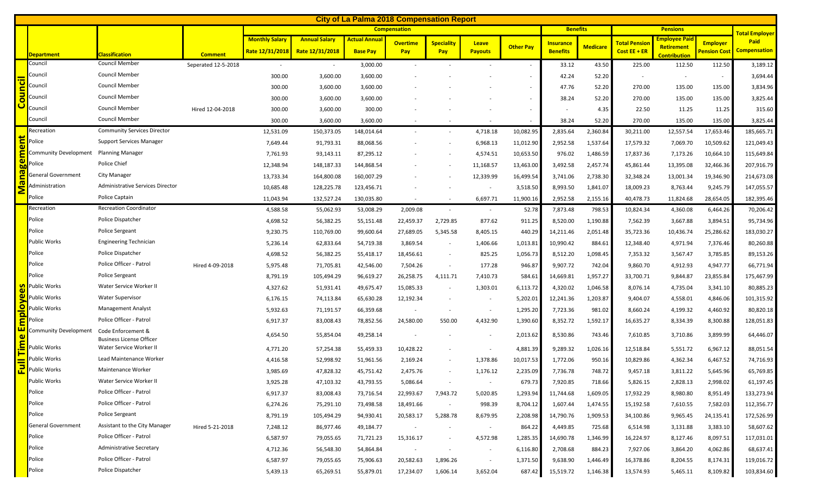|              |                           |                                                            |                     |                       |                      | <b>City of La Palma 2018 Compensation Report</b> |                          |                   |                |                  |                  |                 |                       |                                   |                     |                     |
|--------------|---------------------------|------------------------------------------------------------|---------------------|-----------------------|----------------------|--------------------------------------------------|--------------------------|-------------------|----------------|------------------|------------------|-----------------|-----------------------|-----------------------------------|---------------------|---------------------|
|              |                           |                                                            |                     | <b>Compensation</b>   |                      |                                                  |                          |                   |                | <b>Benefits</b>  |                  |                 | <b>Total Employer</b> |                                   |                     |                     |
|              |                           |                                                            |                     | <b>Monthly Salary</b> | <b>Annual Salary</b> | <b>Actual Annual</b>                             | <b>Overtime</b>          | <b>Speciality</b> | Leave          |                  | <b>Insurance</b> |                 | <b>Total Pensior</b>  | Employee Paid                     | <b>Employer</b>     | Paid                |
|              | <b>Department</b>         | <b>Classification</b>                                      | <b>Comment</b>      | Rate 12/31/2018       | Rate 12/31/2018      | <b>Base Pay</b>                                  | Pay                      | Pay               | <b>Payouts</b> | <b>Other Pay</b> | <b>Benefits</b>  | <b>Medicare</b> | Cost EE + ER          | Retirement<br><b>Contribution</b> | <b>Pension Cost</b> | <b>Compensation</b> |
|              | Council                   | <b>Council Member</b>                                      | Seperated 12-5-2018 | $\sim$                | $\sim$               | 3,000.00                                         | $\overline{\phantom{a}}$ |                   | $\sim$         |                  | 33.12            | 43.50           | 225.00                | 112.50                            | 112.50              | 3,189.12            |
|              | Council                   | <b>Council Member</b>                                      |                     | 300.00                | 3,600.00             | 3,600.00                                         |                          |                   |                |                  | 42.24            | 52.20           | $\sim$                |                                   |                     | 3,694.44            |
|              | Council                   | <b>Council Member</b>                                      |                     | 300.00                | 3,600.00             | 3,600.00                                         |                          |                   |                |                  | 47.76            | 52.20           | 270.00                | 135.00                            | 135.00              | 3,834.96            |
| $\bullet$    | Council                   | <b>Council Member</b>                                      |                     | 300.00                | 3,600.00             | 3,600.00                                         |                          |                   |                |                  | 38.24            | 52.20           | 270.00                | 135.00                            | 135.00              | 3,825.44            |
|              | Council                   | <b>Council Member</b>                                      | Hired 12-04-2018    | 300.00                | 3,600.00             | 300.00                                           |                          |                   |                |                  |                  | 4.35            | 22.50                 | 11.25                             | 11.25               | 315.60              |
|              | Council                   | <b>Council Member</b>                                      |                     | 300.00                | 3,600.00             | 3,600.00                                         |                          |                   |                |                  | 38.24            | 52.20           | 270.00                | 135.00                            | 135.00              | 3,825.44            |
|              | Recreation                | <b>Community Services Director</b>                         |                     | 12,531.09             | 150,373.05           | 148,014.64                                       |                          |                   | 4,718.18       | 10,082.95        | 2,835.64         | 2,360.84        | 30,211.00             | 12,557.54                         | 17,653.46           | 185,665.71          |
| $\omega$     | Police                    | <b>Support Services Manager</b>                            |                     | 7,649.44              | 91,793.31            | 88,068.56                                        |                          |                   | 6,968.13       | 11,012.90        | 2,952.58         | 1,537.64        | 17,579.32             | 7,069.70                          | 10,509.62           | 121,049.43          |
|              | Community Development     | <b>Planning Manager</b>                                    |                     | 7,761.93              | 93,143.11            | 87,295.12                                        |                          |                   | 4,574.51       | 10,653.50        | 976.02           | 1,486.59        | 17,837.36             | 7,173.26                          | 10,664.10           | 115,649.84          |
| $\mathbf{v}$ | Police                    | Police Chief                                               |                     | 12,348.94             | 148,187.33           | 144,868.54                                       |                          |                   | 11,168.57      | 13,463.00        | 3,492.58         | 2,457.74        | 45,861.44             | 13,395.08                         | 32,466.36           | 207,916.79          |
|              | General Government        | <b>City Manager</b>                                        |                     | 13,733.34             | 164,800.08           | 160,007.29                                       | $\overline{\phantom{a}}$ |                   | 12,339.99      | 16,499.54        | 3,741.06         | 2,738.30        | 32,348.24             | 13,001.34                         | 19,346.90           | 214,673.08          |
|              | Administration            | <b>Administrative Services Director</b>                    |                     | 10,685.48             | 128,225.78           | 123,456.71                                       |                          |                   |                | 3,518.50         | 8,993.50         | 1,841.07        | 18,009.23             | 8,763.44                          | 9,245.79            | 147,055.57          |
|              | Police                    | Police Captain                                             |                     | 11,043.94             | 132,527.24           | 130,035.80                                       | $\sim$                   | $\sim$            | 6,697.71       | 11,900.16        | 2,952.58         | 2,155.16        | 40,478.73             | 11,824.68                         | 28,654.05           | 182,395.46          |
|              | Recreation                | <b>Recreation Coordinator</b>                              |                     | 4,588.58              | 55,062.93            | 53,008.29                                        | 2,009.08                 |                   |                | 52.78            | 7,873.48         | 798.53          | 10,824.34             | 4,360.08                          | 6,464.26            | 70,206.42           |
|              | Police                    | <b>Police Dispatcher</b>                                   |                     | 4,698.52              | 56,382.25            | 55,151.48                                        | 22,459.37                | 2,729.85          | 877.62         | 911.25           | 8,520.00         | 1,190.88        | 7,562.39              | 3,667.88                          | 3,894.51            | 95,734.96           |
|              | Police                    | <b>Police Sergeant</b>                                     |                     | 9,230.75              | 110,769.00           | 99,600.64                                        | 27,689.05                | 5,345.58          | 8,405.15       | 440.29           | 14,211.46        | 2,051.48        | 35,723.36             | 10,436.74                         | 25,286.62           | 183,030.27          |
|              | Public Works              | <b>Engineering Technician</b>                              |                     | 5,236.14              | 62,833.64            | 54,719.38                                        | 3,869.54                 | $\sim$            | 1,406.66       | 1,013.81         | 10,990.42        | 884.61          | 12,348.40             | 4,971.94                          | 7,376.46            | 80,260.88           |
|              | Police                    | Police Dispatcher                                          |                     | 4,698.52              | 56,382.25            | 55,418.17                                        | 18,456.61                | $\sim$            | 825.25         | 1,056.73         | 8,512.20         | 1,098.45        | 7,353.32              | 3,567.47                          | 3,785.85            | 89,153.26           |
|              | Police                    | Police Officer - Patrol                                    | Hired 4-09-2018     | 5,975.48              | 71,705.81            | 42,546.00                                        | 7,504.26                 |                   | 177.28         | 946.87           | 9,907.72         | 742.04          | 9,860.70              | 4,912.93                          | 4,947.77            | 66,771.94           |
|              | Police                    | <b>Police Sergeant</b>                                     |                     | 8,791.19              | 105,494.29           | 96,619.27                                        | 26,258.75                | 4,111.71          | 7,410.73       | 584.61           | 14,669.81        | 1,957.27        | 33,700.71             | 9,844.87                          | 23,855.84           | 175,467.99          |
|              | Public Works              | Water Service Worker II                                    |                     | 4,327.62              | 51,931.41            | 49,675.47                                        | 15,085.33                | $\sim$            | 1,303.01       | 6,113.72         | 4,320.02         | 1,046.58        | 8,076.14              | 4,735.04                          | 3,341.10            | 80,885.23           |
|              | Public Works              | <b>Water Supervisor</b>                                    |                     | 6,176.15              | 74,113.84            | 65,630.28                                        | 12,192.34                |                   |                | 5,202.01         | 12,241.36        | 1,203.87        | 9,404.07              | 4,558.01                          | 4,846.06            | 101,315.92          |
| $\bullet$    | Public Works              | <b>Management Analyst</b>                                  |                     | 5,932.63              | 71,191.57            | 66,359.68                                        | $\overline{\phantom{a}}$ |                   |                | 1,295.20         | 7,723.36         | 981.02          | 8,660.24              | 4,199.32                          | 4,460.92            | 80,820.18           |
| ρq           | olice'                    | Police Officer - Patrol                                    |                     | 6,917.37              | 83,008.43            | 78,852.56                                        | 24,580.00                | 550.00            | 4,432.90       | 1,390.60         | 8,352.72         | 1,592.17        | 16,635.27             | 8,334.39                          | 8,300.88            | 128,051.83          |
|              | Community Development     | Code Enforcement &                                         |                     | 4,654.50              | 55,854.04            | 49,258.14                                        |                          |                   |                | 2,013.62         | 8,530.86         | 743.46          | 7,610.85              | 3,710.86                          | 3,899.99            | 64,446.07           |
|              | Public Works              | <b>Business License Officer</b><br>Water Service Worker II |                     | 4,771.20              | 57,254.38            | 55,459.33                                        | 10,428.22                |                   |                | 4,881.39         | 9,289.32         | 1,026.16        | 12,518.84             | 5,551.72                          | 6,967.12            | 88,051.54           |
|              | Public Works              | Lead Maintenance Worker                                    |                     | 4,416.58              | 52,998.92            | 51,961.56                                        | 2,169.24                 |                   | 1,378.86       | 10,017.53        | 1,772.06         | 950.16          | 10,829.86             | 4,362.34                          | 6,467.52            | 74,716.93           |
| ш            | <b>Public Works</b>       | Maintenance Worker                                         |                     | 3,985.69              | 47,828.32            | 45,751.42                                        | 2,475.76                 |                   | 1,176.12       | 2,235.09         | 7,736.78         | 748.72          | 9,457.18              | 3,811.22                          | 5,645.96            | 65,769.85           |
|              | Public Works              | Water Service Worker II                                    |                     | 3,925.28              | 47,103.32            | 43,793.55                                        | 5,086.64                 | $\sim$            | $\sim$         | 679.73           | 7,920.85         | 718.66          | 5,826.15              | 2,828.13                          | 2,998.02            | 61,197.45           |
|              | Police                    | Police Officer - Patrol                                    |                     | 6,917.37              | 83,008.43            | 73,716.54                                        | 22,993.67                | 7,943.72          | 5,020.85       | 1,293.94         | 11,744.68        | 1,609.05        | 17,932.29             | 8,980.80                          | 8,951.49            | 133,273.94          |
|              | Police                    | Police Officer - Patrol                                    |                     | 6,274.26              | 75,291.10            | 73,498.58                                        | 18,491.66                | $\sim$            | 998.39         | 8,704.12         | 1,607.44         | 1,474.55        | 15,192.58             | 7,610.55                          | 7,582.03            | 112,356.77          |
|              | Police                    | Police Sergeant                                            |                     | 8,791.19              | 105,494.29           | 94,930.41                                        | 20,583.17                | 5,288.78          | 8,679.95       | 2,208.98         | 14,790.76        | 1,909.53        | 34,100.86             | 9,965.45                          | 24,135.41           | 172,526.99          |
|              | <b>General Government</b> | Assistant to the City Manager                              | Hired 5-21-2018     | 7,248.12              | 86,977.46            | 49,184.77                                        | $\sim$                   | $\sim$            | $\sim$         | 864.22           | 4,449.85         | 725.68          | 6,514.98              | 3,131.88                          | 3,383.10            | 58,607.62           |
|              | Police                    | Police Officer - Patrol                                    |                     | 6,587.97              | 79,055.65            | 71,721.23                                        | 15,316.17                | $\sim$            | 4,572.98       | 1,285.35         | 14,690.78        | 1,346.99        | 16,224.97             | 8,127.46                          | 8,097.51            | 117,031.01          |
|              | Police                    | <b>Administrative Secretary</b>                            |                     | 4,712.36              | 56,548.30            | 54,864.84                                        |                          |                   | $\sim$         | 6,116.80         | 2,708.68         | 884.23          | 7,927.06              | 3,864.20                          | 4,062.86            | 68,637.41           |
|              | Police                    | Police Officer - Patrol                                    |                     | 6,587.97              | 79,055.65            | 75,906.63                                        | 20,582.63                | 1,896.26          | $\sim$         | 1,371.50         | 9,638.90         | 1,446.49        | 16,378.86             | 8,204.55                          | 8,174.31            | 119,016.72          |
|              | Police                    | Police Dispatcher                                          |                     | 5,439.13              | 65,269.51            | 55,879.01                                        | 17,234.07                | 1,606.14          | 3,652.04       | 687.42           | 15,519.72        | 1,146.38        | 13,574.93             | 5,465.11                          | 8,109.82            | 103,834.60          |
|              |                           |                                                            |                     |                       |                      |                                                  |                          |                   |                |                  |                  |                 |                       |                                   |                     |                     |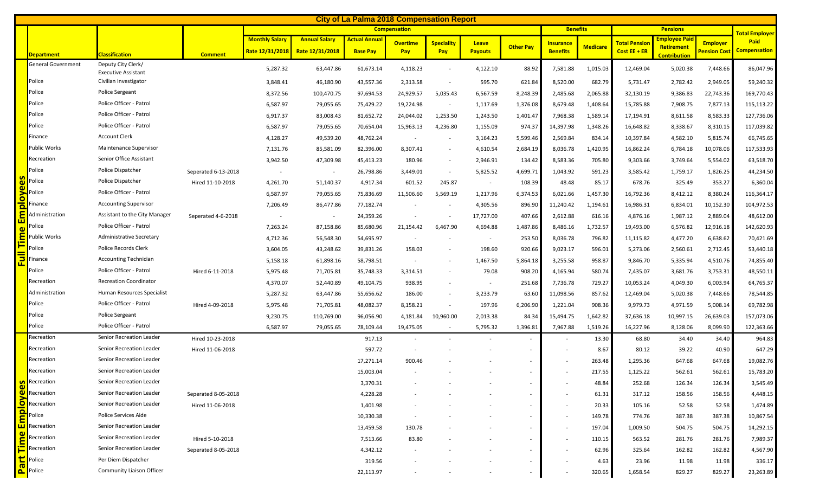| <b>City of La Palma 2018 Compensation Report</b> |                           |                                                  |                     |                       |                          |                      |                          |                          |                |                  |                  |                 |                      |                                   |                     |                              |
|--------------------------------------------------|---------------------------|--------------------------------------------------|---------------------|-----------------------|--------------------------|----------------------|--------------------------|--------------------------|----------------|------------------|------------------|-----------------|----------------------|-----------------------------------|---------------------|------------------------------|
|                                                  |                           |                                                  |                     |                       | <b>Compensation</b>      |                      |                          |                          |                |                  | <b>Benefits</b>  |                 | <b>Pensions</b>      |                                   |                     | <mark>Total Employe</mark> ı |
|                                                  |                           |                                                  |                     | <b>Monthly Salary</b> | <b>Annual Salary</b>     | <b>Actual Annual</b> | <b>Overtime</b>          | <b>Speciality</b>        | Leave          | <b>Other Pay</b> | <b>Insurance</b> |                 | <b>Total Pensior</b> | <b>Employee Paid</b>              | <b>Employer</b>     | Paid                         |
|                                                  | <b>Department</b>         | <b>Classification</b>                            | <b>Comment</b>      | Rate 12/31/2018       | Rate 12/31/2018          | <b>Base Pay</b>      | Pay                      | Pay                      | <b>Payouts</b> |                  | <b>Benefits</b>  | <b>Medicare</b> | Cost EE + ER         | Retirement<br><b>Contribution</b> | <b>Pension Cost</b> | <b>Compensation</b>          |
|                                                  | <b>General Government</b> | Deputy City Clerk/<br><b>Executive Assistant</b> |                     | 5,287.32              | 63,447.86                | 61,673.14            | 4,118.23                 | $\sim$                   | 4,122.10       | 88.92            | 7,581.88         | 1,015.03        | 12,469.04            | 5,020.38                          | 7,448.66            | 86,047.96                    |
|                                                  | Police                    | Civilian Investigator                            |                     | 3,848.41              | 46,180.90                | 43,557.36            | 2,313.58                 | $\sim$                   | 595.70         | 621.84           | 8,520.00         | 682.79          | 5,731.47             | 2,782.42                          | 2,949.05            | 59,240.32                    |
|                                                  | Police                    | <b>Police Sergeant</b>                           |                     | 8,372.56              | 100,470.75               | 97,694.53            | 24,929.57                | 5,035.43                 | 6,567.59       | 8,248.39         | 2,485.68         | 2,065.88        | 32,130.19            | 9,386.83                          | 22,743.36           | 169,770.43                   |
|                                                  | Police                    | Police Officer - Patrol                          |                     | 6,587.97              | 79,055.65                | 75,429.22            | 19,224.98                | $\sim$                   | 1,117.69       | 1,376.08         | 8,679.48         | 1,408.64        | 15,785.88            | 7,908.75                          | 7,877.13            | 115,113.22                   |
|                                                  | Police                    | Police Officer - Patrol                          |                     | 6,917.37              | 83,008.43                | 81,652.72            | 24,044.02                | 1,253.50                 | 1,243.50       | 1,401.47         | 7,968.38         | 1,589.14        | 17,194.91            | 8,611.58                          | 8,583.33            | 127,736.06                   |
|                                                  | Police                    | Police Officer - Patrol                          |                     | 6,587.97              | 79,055.65                | 70,654.04            | 15,963.13                | 4,236.80                 | 1,155.09       | 974.37           | 14,397.98        | 1,348.26        | 16,648.82            | 8,338.67                          | 8,310.15            | 117,039.82                   |
|                                                  | Finance                   | <b>Account Clerk</b>                             |                     | 4,128.27              | 49,539.20                | 48,762.24            | $\overline{\phantom{a}}$ | $\sim$                   | 3,164.23       | 5,599.46         | 2,569.84         | 834.14          | 10,397.84            | 4,582.10                          | 5,815.74            | 66,745.65                    |
|                                                  | <b>Public Works</b>       | Maintenance Supervisor                           |                     | 7,131.76              | 85,581.09                | 82,396.00            | 8,307.41                 | $\sim$                   | 4,610.54       | 2,684.19         | 8,036.78         | 1,420.95        | 16,862.24            | 6,784.18                          | 10,078.06           | 117,533.93                   |
|                                                  | Recreation                | Senior Office Assistant                          |                     | 3,942.50              | 47,309.98                | 45,413.23            | 180.96                   | $\sim$                   | 2,946.91       | 134.42           | 8,583.36         | 705.80          | 9,303.66             | 3,749.64                          | 5,554.02            | 63,518.70                    |
|                                                  | Police                    | Police Dispatcher                                | Seperated 6-13-2018 | $\sim$                | $\overline{\phantom{a}}$ | 26,798.86            | 3,449.01                 | $\sim$                   | 5,825.52       | 4,699.71         | 1,043.92         | 591.23          | 3,585.42             | 1,759.17                          | 1,826.25            | 44,234.50                    |
| $\omega$                                         | di Police                 | Police Dispatcher                                | Hired 11-10-2018    | 4,261.70              | 51,140.37                | 4,917.34             | 601.52                   | 245.87                   | $\sim$         | 108.39           | 48.48            | 85.17           | 678.76               | 325.49                            | 353.27              | 6,360.04                     |
|                                                  | Police                    | Police Officer - Patrol                          |                     | 6,587.97              | 79,055.65                | 75,836.69            | 11,506.60                | 5,569.19                 | 1,217.96       | 6,374.53         | 6,021.66         | 1,457.30        | 16,792.36            | 8,412.12                          | 8,380.24            | 116,364.17                   |
| ᇟ                                                | Finance                   | <b>Accounting Supervisor</b>                     |                     | 7,206.49              | 86,477.86                | 77,182.74            | $\overline{\phantom{a}}$ | $\sim$                   | 4,305.56       | 896.90           | 11,240.42        | 1,194.61        | 16,986.31            | 6,834.01                          | 10,152.30           | 104,972.53                   |
|                                                  | <b>E</b> Administration   | Assistant to the City Manager                    | Seperated 4-6-2018  |                       |                          | 24,359.26            |                          |                          | 17,727.00      | 407.66           | 2,612.88         | 616.16          | 4,876.16             | 1,987.12                          | 2,889.04            | 48,612.00                    |
|                                                  | Police                    | Police Officer - Patrol                          |                     | 7,263.24              | 87,158.86                | 85,680.96            | 21,154.42                | 6,467.90                 | 4,694.88       | 1,487.86         | 8,486.16         | 1,732.57        | 19,493.00            | 6,576.82                          | 12,916.18           | 142,620.93                   |
|                                                  | <b>E</b> Public Works     | <b>Administrative Secretary</b>                  |                     | 4,712.36              | 56,548.30                | 54,695.97            | $\sim$                   | $\sim$                   | $\sim$         | 253.50           | 8,036.78         | 796.82          | 11,115.82            | 4,477.20                          | 6,638.62            | 70,421.69                    |
|                                                  | Police                    | Police Records Clerk                             |                     | 3,604.05              | 43,248.62                | 39,831.26            | 158.03                   | $\overline{\phantom{a}}$ | 198.60         | 920.66           | 9,023.17         | 596.01          | 5,273.06             | 2,560.61                          | 2,712.45            | 53,440.18                    |
|                                                  | Finance                   | <b>Accounting Technician</b>                     |                     | 5,158.18              | 61,898.16                | 58,798.51            | $\sim$                   |                          | 1,467.50       | 5,864.18         | 3,255.58         | 958.87          | 9,846.70             | 5,335.94                          | 4,510.76            | 74,855.40                    |
|                                                  | Police                    | Police Officer - Patrol                          | Hired 6-11-2018     | 5,975.48              | 71,705.81                | 35,748.33            | 3,314.51                 | $\sim$                   | 79.08          | 908.20           | 4,165.94         | 580.74          | 7,435.07             | 3,681.76                          | 3,753.31            | 48,550.11                    |
|                                                  | Recreation                | <b>Recreation Coordinator</b>                    |                     | 4,370.07              | 52,440.89                | 49,104.75            | 938.95                   | $\sim$                   | $\sim$         | 251.68           | 7,736.78         | 729.27          | 10,053.24            | 4,049.30                          | 6,003.94            | 64,765.37                    |
|                                                  | Administration            | Human Resources Specialist                       |                     | 5,287.32              | 63,447.86                | 55,656.62            | 186.00                   | $\overline{\phantom{a}}$ | 3,233.79       | 63.60            | 11,098.56        | 857.62          | 12,469.04            | 5,020.38                          | 7,448.66            | 78,544.85                    |
|                                                  | Police                    | Police Officer - Patrol                          | Hired 4-09-2018     | 5,975.48              | 71,705.81                | 48,082.37            | 8,158.21                 | $\sim$                   | 197.96         | 6,206.90         | 1,221.04         | 908.36          | 9,979.73             | 4,971.59                          | 5,008.14            | 69,782.98                    |
|                                                  | Police                    | <b>Police Sergeant</b>                           |                     | 9,230.75              | 110,769.00               | 96,056.90            | 4,181.84                 | 10,960.00                | 2,013.38       | 84.34            | 15,494.75        | 1,642.82        | 37,636.18            | 10,997.15                         | 26,639.03           | 157,073.06                   |
|                                                  | Police                    | Police Officer - Patrol                          |                     | 6,587.97              | 79,055.65                | 78,109.44            | 19,475.05                |                          | 5,795.32       | 1,396.81         | 7,967.88         | 1,519.26        | 16,227.96            | 8,128.06                          | 8,099.90            | 122,363.66                   |
|                                                  | Recreation                | Senior Recreation Leader                         | Hired 10-23-2018    |                       |                          | 917.13               | $\overline{\phantom{a}}$ |                          | $\sim$         | $\sim$           |                  | 13.30           | 68.80                | 34.40                             | 34.40               | 964.83                       |
|                                                  | Recreation                | Senior Recreation Leader                         | Hired 11-06-2018    |                       |                          | 597.72               | $\sim$                   |                          | $\sim$         | $\sim$           |                  | 8.67            | 80.12                | 39.22                             | 40.90               | 647.29                       |
|                                                  | Recreation                | Senior Recreation Leader                         |                     |                       |                          | 17,271.14            | 900.46                   |                          |                |                  |                  | 263.48          | 1,295.36             | 647.68                            | 647.68              | 19,082.76                    |
|                                                  | Recreation                | Senior Recreation Leader                         |                     |                       |                          | 15,003.04            | $\sim$                   |                          | $\sim$         | $\sim$           |                  | 217.55          | 1,125.22             | 562.61                            | 562.61              | 15,783.20                    |
| $\omega$                                         | Recreation                | Senior Recreation Leader                         |                     |                       |                          | 3,370.31             |                          |                          |                |                  |                  | 48.84           | 252.68               | 126.34                            | 126.34              | 3,545.49                     |
|                                                  | <b>U</b> Recreation       | Senior Recreation Leader                         | Seperated 8-05-2018 |                       |                          | 4,228.28             |                          |                          |                | $\sim$           |                  | 61.31           | 317.12               | 158.56                            | 158.56              | 4,448.15                     |
|                                                  | Recreation                | Senior Recreation Leader                         | Hired 11-06-2018    |                       |                          | 1,401.98             |                          |                          |                | $\sim$           |                  | 20.33           | 105.16               | 52.58                             | 52.58               | 1,474.89                     |
|                                                  |                           | Police Services Aide                             |                     |                       |                          | 10,330.38            |                          |                          |                |                  | ٠                | 149.78          | 774.76               | 387.38                            | 387.38              | 10,867.54                    |
|                                                  | <b>LI</b> Recreation      | Senior Recreation Leader                         |                     |                       |                          | 13,459.58            | 130.78                   |                          |                |                  |                  | 197.04          | 1,009.50             | 504.75                            | 504.75              | 14,292.15                    |
|                                                  | $E$ <sup>Recreation</sup> | Senior Recreation Leader                         | Hired 5-10-2018     |                       |                          | 7,513.66             | 83.80                    |                          |                |                  |                  | 110.15          | 563.52               | 281.76                            | 281.76              | 7,989.37                     |
| $\blacksquare$                                   | Recreation                | Senior Recreation Leader                         | Seperated 8-05-2018 |                       |                          | 4,342.12             | ٠                        |                          |                | $\sim$           |                  | 62.96           | 325.64               | 162.82                            | 162.82              | 4,567.90                     |
| $\frac{1}{\sigma}$ Police                        |                           | Per Diem Dispatcher                              |                     |                       |                          | 319.56               |                          |                          |                | $\sim$           |                  | 4.63            | 23.96                | 11.98                             | 11.98               | 336.17                       |
| <b>Q</b> Police                                  |                           | Community Liaison Officer                        |                     |                       |                          | 22,113.97            |                          |                          |                | $\sim$           |                  | 320.65          | 1,658.54             | 829.27                            | 829.27              | 23,263.89                    |